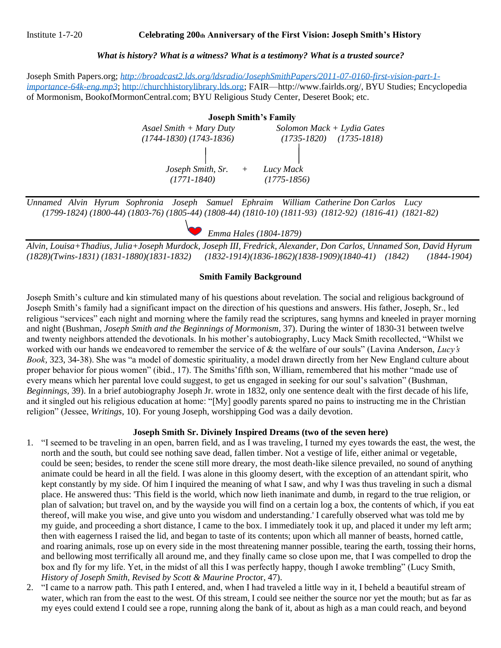## Institute 1-7-20 **Celebrating 200th Anniversary of the First Vision: Joseph Smith's History**

## *What is history? What is a witness? What is a testimony? What is a trusted source?*

Joseph Smith Papers.org; *[http://broadcast2.lds.org/ldsradio/JosephSmithPapers/2011-07-0160-first-vision-part-1](http://broadcast2.lds.org/ldsradio/JosephSmithPapers/2011-07-0160-first-vision-part-1-importance-64k-eng.mp3) [importance-64k-eng.mp3](http://broadcast2.lds.org/ldsradio/JosephSmithPapers/2011-07-0160-first-vision-part-1-importance-64k-eng.mp3)*; [http://churchhistorylibrary.lds.org;](http://churchhistorylibrary.lds.org/) FAIR—http://www.fairlds.org/, BYU Studies; Encyclopedia of Mormonism, BookofMormonCentral.com; BYU Religious Study Center, Deseret Book; etc.

> **Joseph Smith's Family**  *Asael Smith + Mary Duty Solomon Mack + Lydia Gates (1744-1830) (1743-1836) (1735-1820) (1735-1818) Joseph Smith, Sr. + Lucy Mack (1771-1840) (1775-1856)*

*Unnamed Alvin Hyrum Sophronia Joseph Samuel Ephraim William Catherine Don Carlos Lucy (1799-1824) (1800-44) (1803-76) (1805-44) (1808-44) (1810-10) (1811-93) (1812-92) (1816-41) (1821-82)*

 *Emma Hales (1804-1879)*

*Alvin, Louisa+Thadius, Julia+Joseph Murdock, Joseph III, Fredrick, Alexander, Don Carlos, Unnamed Son, David Hyrum (1828)(Twins-1831) (1831-1880)(1831-1832) (1832-1914)(1836-1862)(1838-1909)(1840-41) (1842) (1844-1904)*

## **Smith Family Background**

Joseph Smith's culture and kin stimulated many of his questions about revelation. The social and religious background of Joseph Smith's family had a significant impact on the direction of his questions and answers. His father, Joseph, Sr., led religious "services" each night and morning where the family read the scriptures, sang hymns and kneeled in prayer morning and night (Bushman, *Joseph Smith and the Beginnings of Mormonism*, 37). During the winter of 1830-31 between twelve and twenty neighbors attended the devotionals. In his mother's autobiography, Lucy Mack Smith recollected, "Whilst we worked with our hands we endeavored to remember the service of & the welfare of our souls" (Lavina Anderson, *Lucy's Book,* 323, 34-38). She was "a model of domestic spirituality, a model drawn directly from her New England culture about proper behavior for pious women" (ibid., 17). The Smiths'fifth son, William, remembered that his mother "made use of every means which her parental love could suggest, to get us engaged in seeking for our soul's salvation" (Bushman, *Beginnings,* 39). In a brief autobiography Joseph Jr. wrote in 1832, only one sentence dealt with the first decade of his life, and it singled out his religious education at home: "[My] goodly parents spared no pains to instructing me in the Christian religion" (Jessee, *Writings,* 10). For young Joseph, worshipping God was a daily devotion.

## **Joseph Smith Sr. Divinely Inspired Dreams (two of the seven here)**

- 1. "I seemed to be traveling in an open, barren field, and as I was traveling, I turned my eyes towards the east, the west, the north and the south, but could see nothing save dead, fallen timber. Not a vestige of life, either animal or vegetable, could be seen; besides, to render the scene still more dreary, the most death-like silence prevailed, no sound of anything animate could be heard in all the field. I was alone in this gloomy desert, with the exception of an attendant spirit, who kept constantly by my side. Of him I inquired the meaning of what I saw, and why I was thus traveling in such a dismal place. He answered thus: 'This field is the world, which now lieth inanimate and dumb, in regard to the true religion, or plan of salvation; but travel on, and by the wayside you will find on a certain log a box, the contents of which, if you eat thereof, will make you wise, and give unto you wisdom and understanding.' I carefully observed what was told me by my guide, and proceeding a short distance, I came to the box. I immediately took it up, and placed it under my left arm; then with eagerness I raised the lid, and began to taste of its contents; upon which all manner of beasts, horned cattle, and roaring animals, rose up on every side in the most threatening manner possible, tearing the earth, tossing their horns, and bellowing most terrifically all around me, and they finally came so close upon me, that I was compelled to drop the box and fly for my life. Yet, in the midst of all this I was perfectly happy, though I awoke trembling" (Lucy Smith, *History of Joseph Smith, Revised by Scott & Maurine Procto*r, 47).
- 2. "I came to a narrow path. This path I entered, and, when I had traveled a little way in it, I beheld a beautiful stream of water, which ran from the east to the west. Of this stream, I could see neither the source nor yet the mouth; but as far as my eyes could extend I could see a rope, running along the bank of it, about as high as a man could reach, and beyond